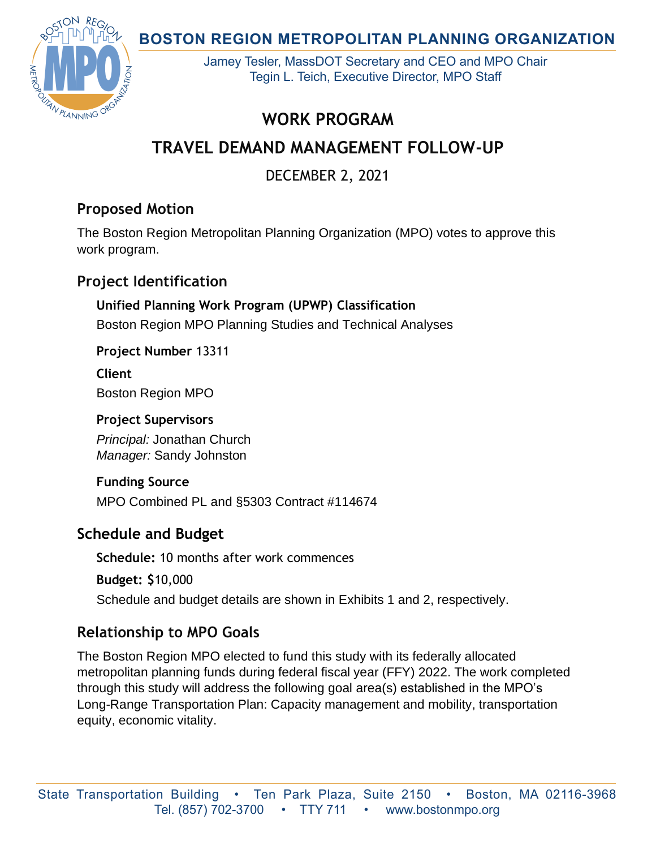**BOSTON REGION METROPOLITAN PLANNING ORGANIZATION** 



Jamey Tesler, MassDOT Secretary and CEO and MPO Chair Tegin L. Teich, Executive Director, MPO Staff

## **WORK PROGRAM**

# **TRAVEL DEMAND MANAGEMENT FOLLOW-UP**

DECEMBER 2, 2021

## **Proposed Motion**

The Boston Region Metropolitan Planning Organization (MPO) votes to approve this work program.

## **Project Identification**

## **Unified Planning Work Program (UPWP) Classification** Boston Region MPO Planning Studies and Technical Analyses

**Project Number** 13311

**Client** Boston Region MPO

### **Project Supervisors**

*Principal:* Jonathan Church *Manager:* Sandy Johnston

#### **Funding Source** MPO Combined PL and §5303 Contract #114674

## **Schedule and Budget**

**Schedule:** 10 months after work commences

**Budget: \$**10,000

Schedule and budget details are shown in Exhibits 1 and 2, respectively.

## **Relationship to MPO Goals**

The Boston Region MPO elected to fund this study with its federally allocated metropolitan planning funds during federal fiscal year (FFY) 2022. The work completed through this study will address the following goal area(s) established in the MPO's Long-Range Transportation Plan: Capacity management and mobility, transportation equity, economic vitality.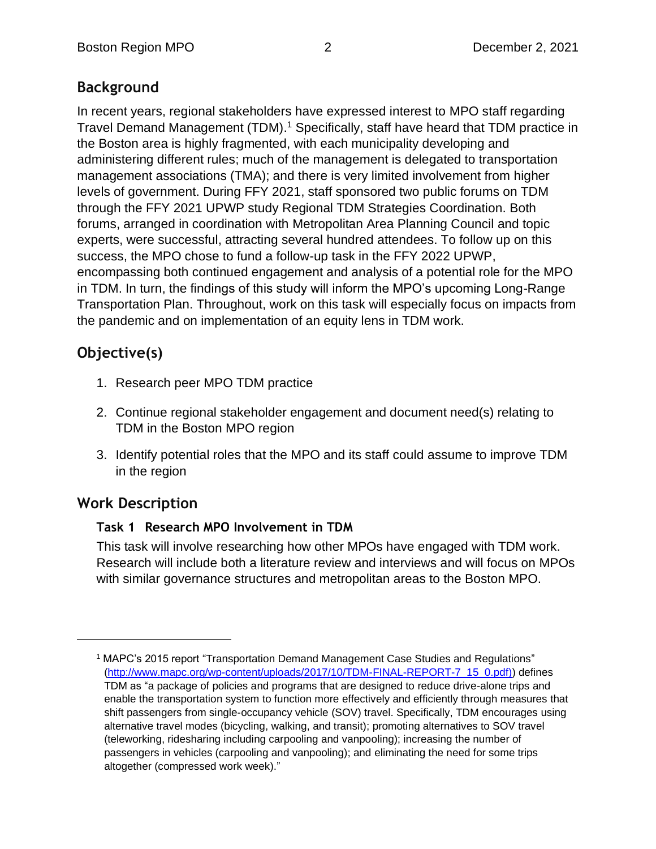## **Background**

In recent years, regional stakeholders have expressed interest to MPO staff regarding Travel Demand Management (TDM). <sup>1</sup> Specifically, staff have heard that TDM practice in the Boston area is highly fragmented, with each municipality developing and administering different rules; much of the management is delegated to transportation management associations (TMA); and there is very limited involvement from higher levels of government. During FFY 2021, staff sponsored two public forums on TDM through the FFY 2021 UPWP study Regional TDM Strategies Coordination. Both forums, arranged in coordination with Metropolitan Area Planning Council and topic experts, were successful, attracting several hundred attendees. To follow up on this success, the MPO chose to fund a follow-up task in the FFY 2022 UPWP, encompassing both continued engagement and analysis of a potential role for the MPO in TDM. In turn, the findings of this study will inform the MPO's upcoming Long-Range Transportation Plan. Throughout, work on this task will especially focus on impacts from the pandemic and on implementation of an equity lens in TDM work.

## **Objective(s)**

- 1. Research peer MPO TDM practice
- 2. Continue regional stakeholder engagement and document need(s) relating to TDM in the Boston MPO region
- 3. Identify potential roles that the MPO and its staff could assume to improve TDM in the region

## **Work Description**

#### **Task 1 Research MPO Involvement in TDM**

This task will involve researching how other MPOs have engaged with TDM work. Research will include both a literature review and interviews and will focus on MPOs with similar governance structures and metropolitan areas to the Boston MPO.

<sup>1</sup> MAPC's 2015 report "Transportation Demand Management Case Studies and Regulations" [\(http://www.mapc.org/wp-content/uploads/2017/10/TDM-FINAL-REPORT-7\\_15\\_0.pdf\)\)](http://www.mapc.org/wp-content/uploads/2017/10/TDM-FINAL-REPORT-7_15_0.pdf)) defines TDM as "a package of policies and programs that are designed to reduce drive-alone trips and enable the transportation system to function more effectively and efficiently through measures that shift passengers from single-occupancy vehicle (SOV) travel. Specifically, TDM encourages using alternative travel modes (bicycling, walking, and transit); promoting alternatives to SOV travel (teleworking, ridesharing including carpooling and vanpooling); increasing the number of passengers in vehicles (carpooling and vanpooling); and eliminating the need for some trips altogether (compressed work week)."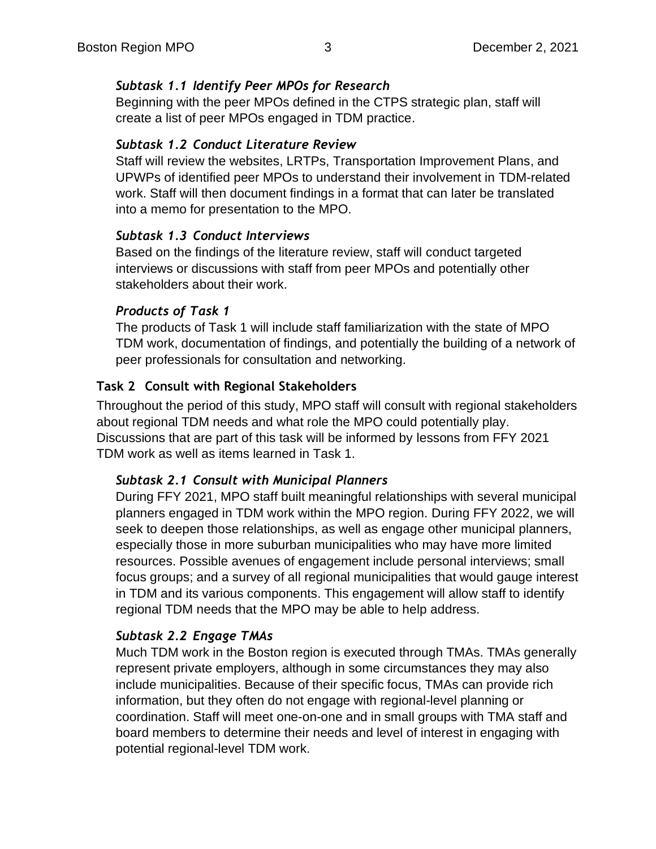#### *Subtask 1.1 Identify Peer MPOs for Research*

Beginning with the peer MPOs defined in the CTPS strategic plan, staff will create a list of peer MPOs engaged in TDM practice.

#### *Subtask 1.2 Conduct Literature Review*

Staff will review the websites, LRTPs, Transportation Improvement Plans, and UPWPs of identified peer MPOs to understand their involvement in TDM-related work. Staff will then document findings in a format that can later be translated into a memo for presentation to the MPO.

#### *Subtask 1.3 Conduct Interviews*

Based on the findings of the literature review, staff will conduct targeted interviews or discussions with staff from peer MPOs and potentially other stakeholders about their work.

#### *Products of Task 1*

The products of Task 1 will include staff familiarization with the state of MPO TDM work, documentation of findings, and potentially the building of a network of peer professionals for consultation and networking.

#### **Task 2 Consult with Regional Stakeholders**

Throughout the period of this study, MPO staff will consult with regional stakeholders about regional TDM needs and what role the MPO could potentially play. Discussions that are part of this task will be informed by lessons from FFY 2021 TDM work as well as items learned in Task 1.

#### *Subtask 2.1 Consult with Municipal Planners*

During FFY 2021, MPO staff built meaningful relationships with several municipal planners engaged in TDM work within the MPO region. During FFY 2022, we will seek to deepen those relationships, as well as engage other municipal planners, especially those in more suburban municipalities who may have more limited resources. Possible avenues of engagement include personal interviews; small focus groups; and a survey of all regional municipalities that would gauge interest in TDM and its various components. This engagement will allow staff to identify regional TDM needs that the MPO may be able to help address.

#### *Subtask 2.2 Engage TMAs*

Much TDM work in the Boston region is executed through TMAs. TMAs generally represent private employers, although in some circumstances they may also include municipalities. Because of their specific focus, TMAs can provide rich information, but they often do not engage with regional-level planning or coordination. Staff will meet one-on-one and in small groups with TMA staff and board members to determine their needs and level of interest in engaging with potential regional-level TDM work.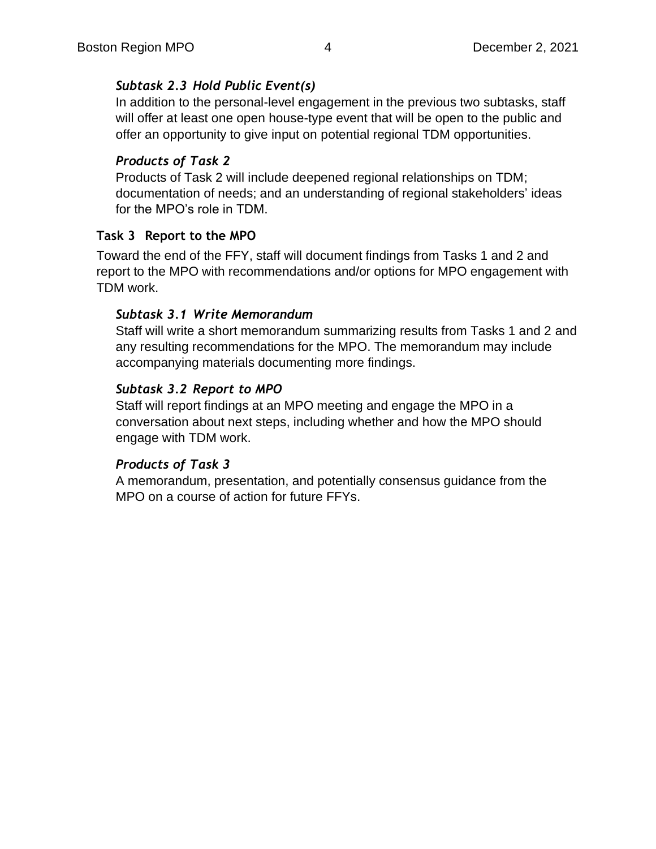#### *Subtask 2.3 Hold Public Event(s)*

In addition to the personal-level engagement in the previous two subtasks, staff will offer at least one open house-type event that will be open to the public and offer an opportunity to give input on potential regional TDM opportunities.

#### *Products of Task 2*

Products of Task 2 will include deepened regional relationships on TDM; documentation of needs; and an understanding of regional stakeholders' ideas for the MPO's role in TDM.

#### **Task 3 Report to the MPO**

Toward the end of the FFY, staff will document findings from Tasks 1 and 2 and report to the MPO with recommendations and/or options for MPO engagement with TDM work.

#### *Subtask 3.1 Write Memorandum*

Staff will write a short memorandum summarizing results from Tasks 1 and 2 and any resulting recommendations for the MPO. The memorandum may include accompanying materials documenting more findings.

#### *Subtask 3.2 Report to MPO*

Staff will report findings at an MPO meeting and engage the MPO in a conversation about next steps, including whether and how the MPO should engage with TDM work.

#### *Products of Task 3*

A memorandum, presentation, and potentially consensus guidance from the MPO on a course of action for future FFYs.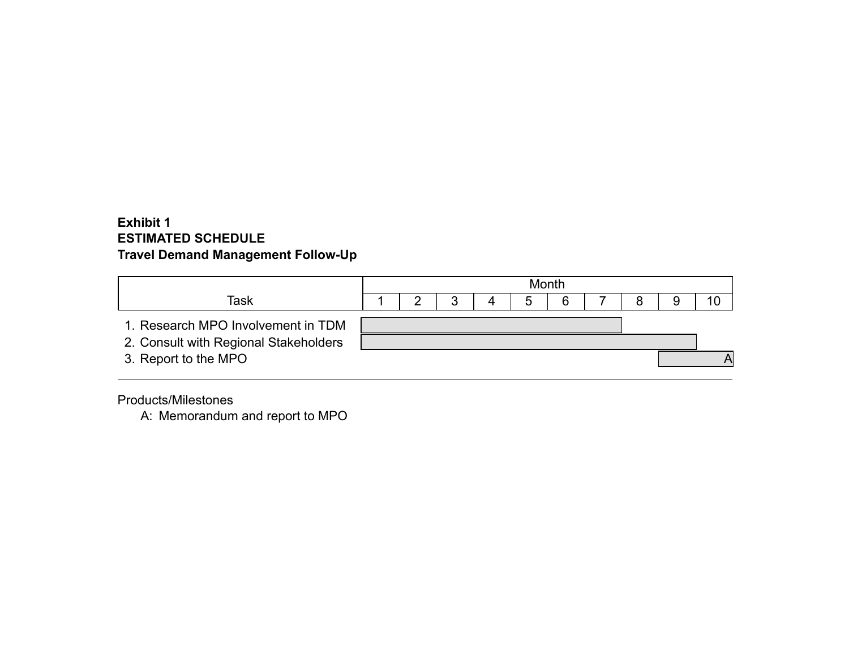#### **Exhibit 1 ESTIMATED SCHEDULE Travel Demand Management Follow-Up**

|                                       | Month |  |  |  |  |   |  |  |  |  |
|---------------------------------------|-------|--|--|--|--|---|--|--|--|--|
| Task                                  |       |  |  |  |  | 6 |  |  |  |  |
| 1. Research MPO Involvement in TDM    |       |  |  |  |  |   |  |  |  |  |
| 2. Consult with Regional Stakeholders |       |  |  |  |  |   |  |  |  |  |
| 3. Report to the MPO                  |       |  |  |  |  |   |  |  |  |  |

Products/Milestones

A: Memorandum and report to MPO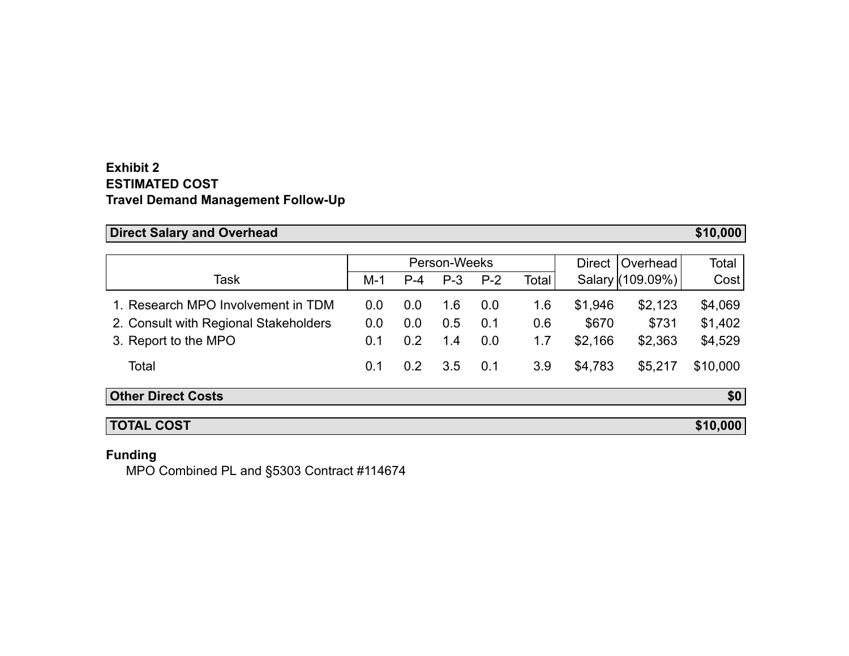#### **Exhibit 2 ESTIMATED COST Travel Demand Management Follow-Up**

## **Direct Salary and Overhead <b>\$10,000 \$10,000**

|                                       | Person-Weeks |       |       |       |              | <b>Direct</b> | <b>Overhead</b>  | Total    |
|---------------------------------------|--------------|-------|-------|-------|--------------|---------------|------------------|----------|
| Task                                  | $M-1$        | $P-4$ | $P-3$ | $P-2$ | <b>Total</b> |               | Salary (109.09%) | Cost     |
| 1. Research MPO Involvement in TDM    | 0.0          | 0.0   | 1.6   | 0.0   | 1.6          | \$1,946       | \$2,123          | \$4,069  |
| 2. Consult with Regional Stakeholders | 0.0          | 0.0   | 0.5   | 0.1   | 0.6          | \$670         | \$731            | \$1,402  |
| 3. Report to the MPO                  | 0.1          | 0.2   | 1.4   | 0.0   | 1.7          | \$2,166       | \$2,363          | \$4,529  |
| Total                                 | 0.1          | 0.2   | 3.5   | 0.1   | 3.9          | \$4,783       | \$5,217          | \$10,000 |
| <b>Other Direct Costs</b>             |              |       |       |       |              |               |                  | \$0      |
| <b>TOTAL COST</b>                     |              |       |       |       |              |               |                  | \$10,000 |

#### **Funding**

MPO Combined PL and §5303 Contract #114674